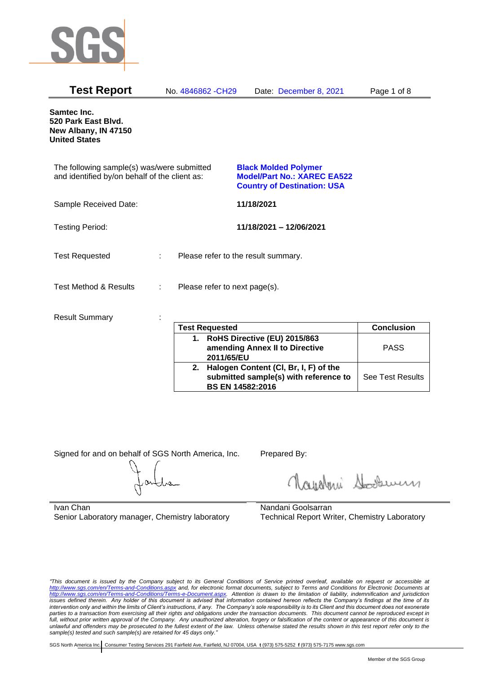

| <b>Test Report</b>                                                                          |   | No. 4846862 - CH29            | Date: December 8, 2021                                                                                  | Page 1 of 8 |
|---------------------------------------------------------------------------------------------|---|-------------------------------|---------------------------------------------------------------------------------------------------------|-------------|
| Samtec Inc.<br>520 Park East Blvd.<br>New Albany, IN 47150<br><b>United States</b>          |   |                               |                                                                                                         |             |
| The following sample(s) was/were submitted<br>and identified by/on behalf of the client as: |   |                               | <b>Black Molded Polymer</b><br><b>Model/Part No.: XAREC EA522</b><br><b>Country of Destination: USA</b> |             |
| Sample Received Date:                                                                       |   |                               | 11/18/2021                                                                                              |             |
| <b>Testing Period:</b>                                                                      |   |                               | 11/18/2021 - 12/06/2021                                                                                 |             |
| <b>Test Requested</b>                                                                       | ÷ |                               | Please refer to the result summary.                                                                     |             |
| Test Method & Results                                                                       | ÷ | Please refer to next page(s). |                                                                                                         |             |
| <b>Result Summary</b>                                                                       |   | <b>Tast Ramiastad</b>         |                                                                                                         | Conclusion  |

| <b>Test Requested</b> |                                                                                                           | <b>Conclusion</b>       |
|-----------------------|-----------------------------------------------------------------------------------------------------------|-------------------------|
|                       | 1. RoHS Directive (EU) 2015/863<br>amending Annex II to Directive<br>2011/65/EU                           | <b>PASS</b>             |
| 2.                    | Halogen Content (CI, Br, I, F) of the<br>submitted sample(s) with reference to<br><b>BS EN 14582:2016</b> | <b>See Test Results</b> |

Signed for and on behalf of SGS North America, Inc. Prepared By:

Roughan Souri

Ivan Chan Senior Laboratory manager, Chemistry laboratory

Nandani Goolsarran Technical Report Writer, Chemistry Laboratory

*"This document is issued by the Company subject to its General Conditions of Service printed overleaf, available on request or accessible at <http://www.sgs.com/en/Terms-and-Conditions.aspx> and, for electronic format documents, subject to Terms and Conditions for Electronic Documents at [http://www.sgs.com/en/Terms-and-Conditions/Terms-e-Document.aspx.](http://www.sgs.com/en/Terms-and-Conditions/Terms-e-Document.aspx) Attention is drawn to the limitation of liability, indemnification and jurisdiction issues defined therein. Any holder of this document is advised that information contained hereon reflects the Company's findings at the time of its intervention only and within the limits of Client's instructions, if any. The Company's sole responsibility is to its Client and this document does not exonerate*  parties to a transaction from exercising all their rights and obligations under the transaction documents. This document cannot be reproduced except in *full, without prior written approval of the Company. Any unauthorized alteration, forgery or falsification of the content or appearance of this document is unlawful and offenders may be prosecuted to the fullest extent of the law. Unless otherwise stated the results shown in this test report refer only to the sample(s) tested and such sample(s) are retained for 45 days only."*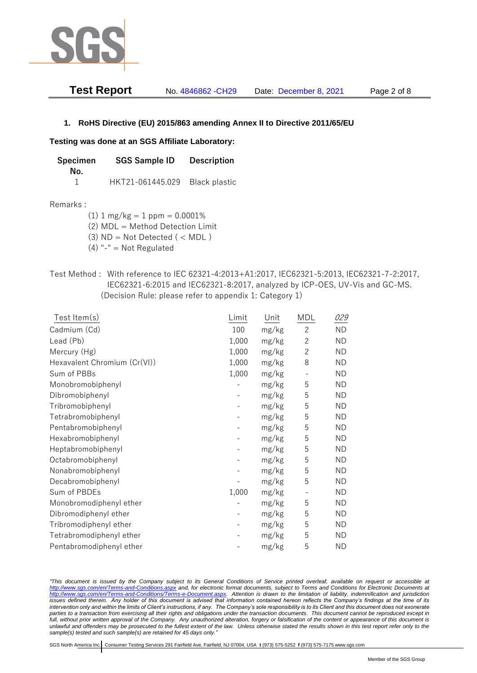

**Test Report** No. 4846862 -CH29 Date: December 8, 2021 Page 2 of 8

# **1. RoHS Directive (EU) 2015/863 amending Annex II to Directive 2011/65/EU**

### **Testing was done at an SGS Affiliate Laboratory:**

**Specimen SGS Sample ID Description No.** 1 HKT21-061445.029 Black plastic

#### Remarks :

 $(1)$  1 mg/kg = 1 ppm = 0.0001%

(2) MDL = Method Detection Limit

- (3)  $ND = Not detected$  ( < MDL)
- (4) "-" = Not Regulated
- Test Method : With reference to IEC 62321-4:2013+A1:2017, IEC62321-5:2013, IEC62321-7-2:2017, IEC62321-6:2015 and IEC62321-8:2017, analyzed by ICP-OES, UV-Vis and GC-MS. (Decision Rule: please refer to appendix 1: Category 1)

| Test Item(s)                 | Limit | Unit  | MDL            | 029       |
|------------------------------|-------|-------|----------------|-----------|
| Cadmium (Cd)                 | 100   | mg/kg | $\overline{2}$ | <b>ND</b> |
| Lead (Pb)                    | 1,000 | mg/kg | $\mathbf{2}$   | <b>ND</b> |
| Mercury (Hg)                 | 1,000 | mg/kg | $\mathbf{2}$   | <b>ND</b> |
| Hexavalent Chromium (Cr(VI)) | 1,000 | mg/kg | 8              | <b>ND</b> |
| Sum of PBBs                  | 1,000 | mg/kg |                | <b>ND</b> |
| Monobromobiphenyl            |       | mg/kg | 5              | <b>ND</b> |
| Dibromobiphenyl              |       | mg/kg | 5              | <b>ND</b> |
| Tribromobiphenyl             |       | mg/kg | 5              | <b>ND</b> |
| Tetrabromobiphenyl           |       | mg/kg | 5              | <b>ND</b> |
| Pentabromobiphenyl           |       | mg/kg | 5              | <b>ND</b> |
| Hexabromobiphenyl            |       | mg/kg | 5              | <b>ND</b> |
| Heptabromobiphenyl           |       | mg/kg | 5              | <b>ND</b> |
| Octabromobiphenyl            |       | mg/kg | 5              | <b>ND</b> |
| Nonabromobiphenyl            |       | mg/kg | 5              | <b>ND</b> |
| Decabromobiphenyl            |       | mg/kg | 5              | <b>ND</b> |
| Sum of PBDEs                 | 1,000 | mg/kg |                | <b>ND</b> |
| Monobromodiphenyl ether      |       | mg/kg | 5              | <b>ND</b> |
| Dibromodiphenyl ether        |       | mg/kg | 5              | ND        |
| Tribromodiphenyl ether       |       | mg/kg | 5              | <b>ND</b> |
| Tetrabromodiphenyl ether     |       | mg/kg | 5              | <b>ND</b> |
| Pentabromodiphenyl ether     |       | mg/kg | 5              | <b>ND</b> |

*"This document is issued by the Company subject to its General Conditions of Service printed overleaf, available on request or accessible at <http://www.sgs.com/en/Terms-and-Conditions.aspx> and, for electronic format documents, subject to Terms and Conditions for Electronic Documents at [http://www.sgs.com/en/Terms-and-Conditions/Terms-e-Document.aspx.](http://www.sgs.com/en/Terms-and-Conditions/Terms-e-Document.aspx) Attention is drawn to the limitation of liability, indemnification and jurisdiction issues defined therein. Any holder of this document is advised that information contained hereon reflects the Company's findings at the time of its intervention only and within the limits of Client's instructions, if any. The Company's sole responsibility is to its Client and this document does not exonerate parties to a transaction from exercising all their rights and obligations under the transaction documents. This document cannot be reproduced except in full, without prior written approval of the Company. Any unauthorized alteration, forgery or falsification of the content or appearance of this document is unlawful and offenders may be prosecuted to the fullest extent of the law. Unless otherwise stated the results shown in this test report refer only to the sample(s) tested and such sample(s) are retained for 45 days only."*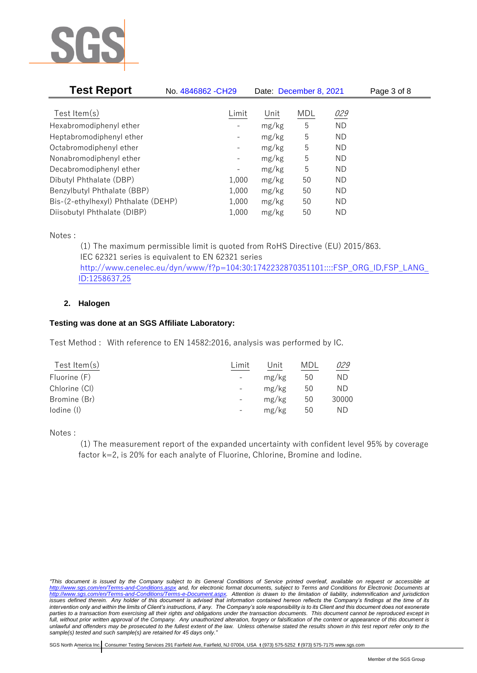

| <b>Test Report</b>                  | No. 4846862 - CH29           | Date: December 8, 2021 |     |           | Page 3 of 8 |
|-------------------------------------|------------------------------|------------------------|-----|-----------|-------------|
|                                     |                              |                        |     |           |             |
| Test Item $(s)$                     | Limit                        | Unit                   | MDL | 029       |             |
| Hexabromodiphenyl ether             |                              | mg/kg                  | 5   | <b>ND</b> |             |
| Heptabromodiphenyl ether            |                              | mg/kg                  | 5   | ND        |             |
| Octabromodiphenyl ether             | $\qquad \qquad \blacksquare$ | mg/kg                  | 5   | ND        |             |
| Nonabromodiphenyl ether             | -                            | mg/kg                  | 5   | ND        |             |
| Decabromodiphenyl ether             | $\qquad \qquad \blacksquare$ | mg/kg                  | 5   | ND        |             |
| Dibutyl Phthalate (DBP)             | 1,000                        | mg/kg                  | 50  | ND        |             |
| Benzylbutyl Phthalate (BBP)         | 1,000                        | mg/kg                  | 50  | ND        |             |
| Bis-(2-ethylhexyl) Phthalate (DEHP) | 1,000                        | mg/kg                  | 50  | ND        |             |
| Diisobutyl Phthalate (DIBP)         | 1,000                        | mg/kg                  | 50  | ΝD        |             |

Notes :

(1) The maximum permissible limit is quoted from RoHS Directive (EU) 2015/863. IEC 62321 series is equivalent to EN 62321 series [http://www.cenelec.eu/dyn/www/f?p=104:30:1742232870351101::::FSP\\_ORG\\_ID,FSP\\_LANG\\_](http://www.cenelec.eu/dyn/www/f?p=104:30:1742232870351101::::FSP_ORG_ID,FSP_LANG_ID:1258637,25) [ID:1258637,25](http://www.cenelec.eu/dyn/www/f?p=104:30:1742232870351101::::FSP_ORG_ID,FSP_LANG_ID:1258637,25)

# **2. Halogen**

# **Testing was done at an SGS Affiliate Laboratory:**

Test Method : With reference to EN 14582:2016, analysis was performed by IC.

| Test Item $(s)$ | Limit | Unit  | MDI | 029   |
|-----------------|-------|-------|-----|-------|
| Fluorine (F)    |       | mg/kg | 50  | ΝD    |
| Chlorine (CI)   |       | mg/kg | 50  | ΝD    |
| Bromine (Br)    |       | mg/kg | 50  | 30000 |
| lodine (I)      |       | mg/kg | 50  | ΝD    |
|                 |       |       |     |       |

Notes :

(1) The measurement report of the expanded uncertainty with confident level 95% by coverage factor k=2, is 20% for each analyte of Fluorine, Chlorine, Bromine and Iodine.

*<sup>&</sup>quot;This document is issued by the Company subject to its General Conditions of Service printed overleaf, available on request or accessible at <http://www.sgs.com/en/Terms-and-Conditions.aspx> and, for electronic format documents, subject to Terms and Conditions for Electronic Documents at [http://www.sgs.com/en/Terms-and-Conditions/Terms-e-Document.aspx.](http://www.sgs.com/en/Terms-and-Conditions/Terms-e-Document.aspx) Attention is drawn to the limitation of liability, indemnification and jurisdiction issues defined therein. Any holder of this document is advised that information contained hereon reflects the Company's findings at the time of its intervention only and within the limits of Client's instructions, if any. The Company's sole responsibility is to its Client and this document does not exonerate parties to a transaction from exercising all their rights and obligations under the transaction documents. This document cannot be reproduced except in full, without prior written approval of the Company. Any unauthorized alteration, forgery or falsification of the content or appearance of this document is unlawful and offenders may be prosecuted to the fullest extent of the law. Unless otherwise stated the results shown in this test report refer only to the sample(s) tested and such sample(s) are retained for 45 days only."*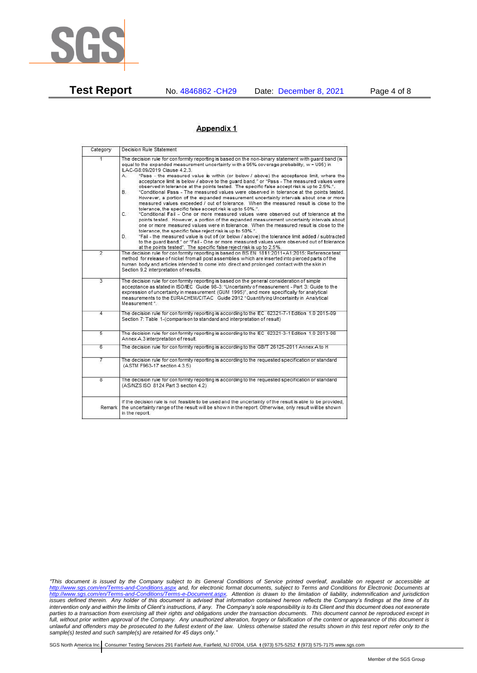

**Test Report** No. 4846862 -CH29 Date: December 8, 2021 Page 4 of 8

### Appendix 1

| Category                | Decision Rule Statement                                                                                                                                                                                                                                                                                                                                                                                                                                                                                                                                                                                                                                                                                                                                                                                                                                                                                                                                                                                                                                                                                                                                                                                                                                                                                                                                                                                                                                                                                            |
|-------------------------|--------------------------------------------------------------------------------------------------------------------------------------------------------------------------------------------------------------------------------------------------------------------------------------------------------------------------------------------------------------------------------------------------------------------------------------------------------------------------------------------------------------------------------------------------------------------------------------------------------------------------------------------------------------------------------------------------------------------------------------------------------------------------------------------------------------------------------------------------------------------------------------------------------------------------------------------------------------------------------------------------------------------------------------------------------------------------------------------------------------------------------------------------------------------------------------------------------------------------------------------------------------------------------------------------------------------------------------------------------------------------------------------------------------------------------------------------------------------------------------------------------------------|
| 4                       | The decision rule for conformity reporting is based on the non-binary statement with quard band (is<br>equal to the expanded measurement uncertainty with a 95% coverage probability, w = U95) in<br>ILAC-G8:09/2019 Clause 4.2.3.<br>"Pass - the measured value is within (or below / above) the acceptance limit, where the<br>А.<br>acceptance limit is below / above to the quard band." or "Pass - The measured values were<br>observed in tolerance at the points tested. The specific false accept risk is up to 2.5%.".<br>"Conditional Pass - The measured values were observed in tolerance at the points tested.<br>В.<br>However, a portion of the expanded measurement uncertainty intervals about one or more<br>measured values exceeded / out of tolerance. When the measured result is close to the<br>tolerance, the specific false accept risk is up to 50%.".<br>C.<br>"Conditional Fail - One or more measured values were observed out of tolerance at the<br>points tested. However, a portion of the expanded measurement uncertainty intervals about<br>one or more measured values were in tolerance. When the measured result is close to the<br>tolerance, the specific false reject risk is up to 50%.".<br>"Fail - the measured value is out of (or below / above) the tolerance limit added / subtracted<br>D.<br>to the quard band." or "Fail - One or more measured values were observed out of tolerance<br>at the points tested". The specific false reject risk is up to 2.5%. |
| $\overline{2}$          | The decision rule for conformity reporting is based on BS EN 1811:2011+A1:2015: Reference test<br>method for release of nickel from all post assemblies which are inserted into pierced parts of the<br>human body and articles intended to come into direct and prolonged contact with the skin in<br>Section 9.2 interpretation of results.                                                                                                                                                                                                                                                                                                                                                                                                                                                                                                                                                                                                                                                                                                                                                                                                                                                                                                                                                                                                                                                                                                                                                                      |
| $\overline{3}$          | The decision rule for conformity reporting is based on the general consideration of simple<br>acceptance as stated in ISO/IEC Guide 98-3: "Uncertainty of measurement - Part 3: Guide to the<br>expression of uncertainty in measurement (GUM 1995)", and more specifically for analytical<br>measurements to the EURACHEM/CITAC Guide 2012 "Quantifying Uncertainty in Analytical<br>Measurement <sup>*</sup>                                                                                                                                                                                                                                                                                                                                                                                                                                                                                                                                                                                                                                                                                                                                                                                                                                                                                                                                                                                                                                                                                                     |
| 4                       | The decision rule for conformity reporting is according to the IEC 62321-7-1 Edition 1.0 2015-09<br>Section 7: Table 1-(comparison to standard and interpretation of result)                                                                                                                                                                                                                                                                                                                                                                                                                                                                                                                                                                                                                                                                                                                                                                                                                                                                                                                                                                                                                                                                                                                                                                                                                                                                                                                                       |
| $\overline{5}$          | The decision rule for conformity reporting is according to the IEC 62321-3-1 Edition 1.0 2013-06<br>Annex A.3 interpretation of result.                                                                                                                                                                                                                                                                                                                                                                                                                                                                                                                                                                                                                                                                                                                                                                                                                                                                                                                                                                                                                                                                                                                                                                                                                                                                                                                                                                            |
| 6                       | The decision rule for conformity reporting is according to the GB/T 26125-2011 Annex A to H                                                                                                                                                                                                                                                                                                                                                                                                                                                                                                                                                                                                                                                                                                                                                                                                                                                                                                                                                                                                                                                                                                                                                                                                                                                                                                                                                                                                                        |
| 7                       | The decision rule for conformity reporting is according to the requested specification or standard<br>(ASTM F963-17 section 4.3.5)                                                                                                                                                                                                                                                                                                                                                                                                                                                                                                                                                                                                                                                                                                                                                                                                                                                                                                                                                                                                                                                                                                                                                                                                                                                                                                                                                                                 |
| $\overline{\mathbf{g}}$ | The decision rule for conformity reporting is according to the requested specification or standard<br>(AS/NZS ISO 8124 Part 3 section 4.2)                                                                                                                                                                                                                                                                                                                                                                                                                                                                                                                                                                                                                                                                                                                                                                                                                                                                                                                                                                                                                                                                                                                                                                                                                                                                                                                                                                         |
| Remark                  | If the decision rule is not feasible to be used and the uncertainty of the result is able to be provided,<br>the uncertainty range of the result will be shown in the report. Otherwise, only result will be shown<br>in the report.                                                                                                                                                                                                                                                                                                                                                                                                                                                                                                                                                                                                                                                                                                                                                                                                                                                                                                                                                                                                                                                                                                                                                                                                                                                                               |

*<sup>&</sup>quot;This document is issued by the Company subject to its General Conditions of Service printed overleaf, available on request or accessible at <http://www.sgs.com/en/Terms-and-Conditions.aspx> and, for electronic format documents, subject to Terms and Conditions for Electronic Documents at [http://www.sgs.com/en/Terms-and-Conditions/Terms-e-Document.aspx.](http://www.sgs.com/en/Terms-and-Conditions/Terms-e-Document.aspx) Attention is drawn to the limitation of liability, indemnification and jurisdiction issues defined therein. Any holder of this document is advised that information contained hereon reflects the Company's findings at the time of its intervention only and within the limits of Client's instructions, if any. The Company's sole responsibility is to its Client and this document does not exonerate parties to a transaction from exercising all their rights and obligations under the transaction documents. This document cannot be reproduced except in full, without prior written approval of the Company. Any unauthorized alteration, forgery or falsification of the content or appearance of this document is unlawful and offenders may be prosecuted to the fullest extent of the law. Unless otherwise stated the results shown in this test report refer only to the sample(s) tested and such sample(s) are retained for 45 days only."*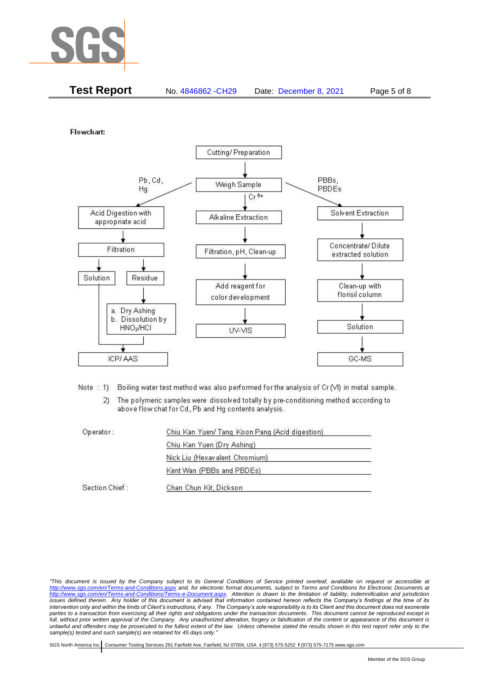

| <b>Test Report</b><br>No. 4846862 - CH29 | Date: December 8, 2021 | Page 5 of 8 |
|------------------------------------------|------------------------|-------------|
|------------------------------------------|------------------------|-------------|

Flowchart:



Note: 1) Boiling water test method was also performed for the analysis of Cr (VI) in metal sample.

The polymeric samples were dissolved totally by pre-conditioning method according to  $2)$ above flow chat for Cd, Pb and Hg contents analysis.

| Operator:      | Chiu Kan Yuen/ Tang Koon Pang (Acid digestion) |  |
|----------------|------------------------------------------------|--|
|                | Chiu Kan Yuen (Dry Ashing)                     |  |
|                | Nick Liu (Hexavalent Chromium)                 |  |
|                | Kent Wan (PBBs and PBDEs)                      |  |
| Section Chief: | Chan Chun Kit, Dickson                         |  |

*"This document is issued by the Company subject to its General Conditions of Service printed overleaf, available on request or accessible at <http://www.sgs.com/en/Terms-and-Conditions.aspx> and, for electronic format documents, subject to Terms and Conditions for Electronic Documents at [http://www.sgs.com/en/Terms-and-Conditions/Terms-e-Document.aspx.](http://www.sgs.com/en/Terms-and-Conditions/Terms-e-Document.aspx) Attention is drawn to the limitation of liability, indemnification and jurisdiction issues defined therein. Any holder of this document is advised that information contained hereon reflects the Company's findings at the time of its intervention only and within the limits of Client's instructions, if any. The Company's sole responsibility is to its Client and this document does not exonerate parties to a transaction from exercising all their rights and obligations under the transaction documents. This document cannot be reproduced except in full, without prior written approval of the Company. Any unauthorized alteration, forgery or falsification of the content or appearance of this document is unlawful and offenders may be prosecuted to the fullest extent of the law. Unless otherwise stated the results shown in this test report refer only to the sample(s) tested and such sample(s) are retained for 45 days only."*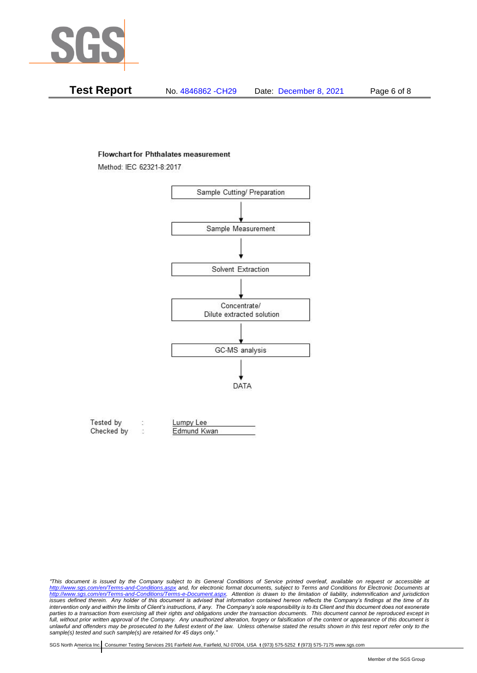

| Test Report | No. 4846862 -CH29 | Date: December 8, 2021 | Page 6 of 8 |
|-------------|-------------------|------------------------|-------------|
|-------------|-------------------|------------------------|-------------|

#### **Flowchart for Phthalates measurement**

Method: IEC 62321-8:2017



| Tested by  | Lumpy Lee   |  |
|------------|-------------|--|
| Checked by | Edmund Kwan |  |

*<sup>&</sup>quot;This document is issued by the Company subject to its General Conditions of Service printed overleaf, available on request or accessible at <http://www.sgs.com/en/Terms-and-Conditions.aspx> and, for electronic format documents, subject to Terms and Conditions for Electronic Documents at [http://www.sgs.com/en/Terms-and-Conditions/Terms-e-Document.aspx.](http://www.sgs.com/en/Terms-and-Conditions/Terms-e-Document.aspx) Attention is drawn to the limitation of liability, indemnification and jurisdiction issues defined therein. Any holder of this document is advised that information contained hereon reflects the Company's findings at the time of its intervention only and within the limits of Client's instructions, if any. The Company's sole responsibility is to its Client and this document does not exonerate*  parties to a transaction from exercising all their rights and obligations under the transaction documents. This document cannot be reproduced except in *full, without prior written approval of the Company. Any unauthorized alteration, forgery or falsification of the content or appearance of this document is unlawful and offenders may be prosecuted to the fullest extent of the law. Unless otherwise stated the results shown in this test report refer only to the sample(s) tested and such sample(s) are retained for 45 days only."*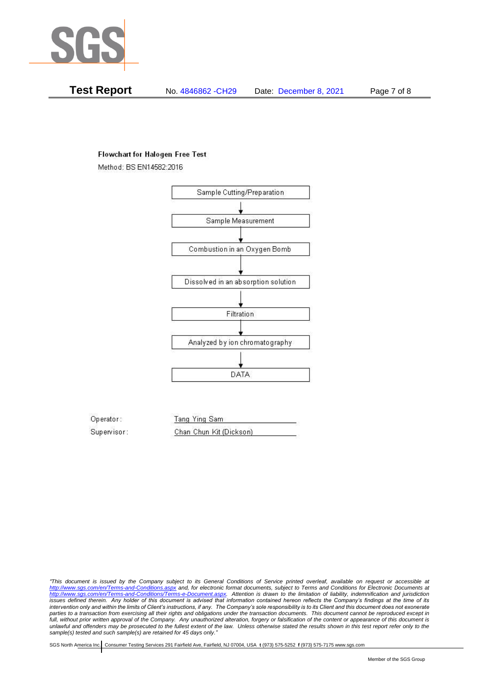

**Test Report** No. 4846862 -CH29 Date: December 8, 2021 Page 7 of 8

## **Flowchart for Halogen Free Test**

Method: BS EN14582:2016



Operator: Tang Ying Sam Supervisor: Chan Chun Kit (Dickson)

*"This document is issued by the Company subject to its General Conditions of Service printed overleaf, available on request or accessible at <http://www.sgs.com/en/Terms-and-Conditions.aspx> and, for electronic format documents, subject to Terms and Conditions for Electronic Documents at [http://www.sgs.com/en/Terms-and-Conditions/Terms-e-Document.aspx.](http://www.sgs.com/en/Terms-and-Conditions/Terms-e-Document.aspx) Attention is drawn to the limitation of liability, indemnification and jurisdiction issues defined therein. Any holder of this document is advised that information contained hereon reflects the Company's findings at the time of its intervention only and within the limits of Client's instructions, if any. The Company's sole responsibility is to its Client and this document does not exonerate parties to a transaction from exercising all their rights and obligations under the transaction documents. This document cannot be reproduced except in full, without prior written approval of the Company. Any unauthorized alteration, forgery or falsification of the content or appearance of this document is unlawful and offenders may be prosecuted to the fullest extent of the law. Unless otherwise stated the results shown in this test report refer only to the sample(s) tested and such sample(s) are retained for 45 days only."*